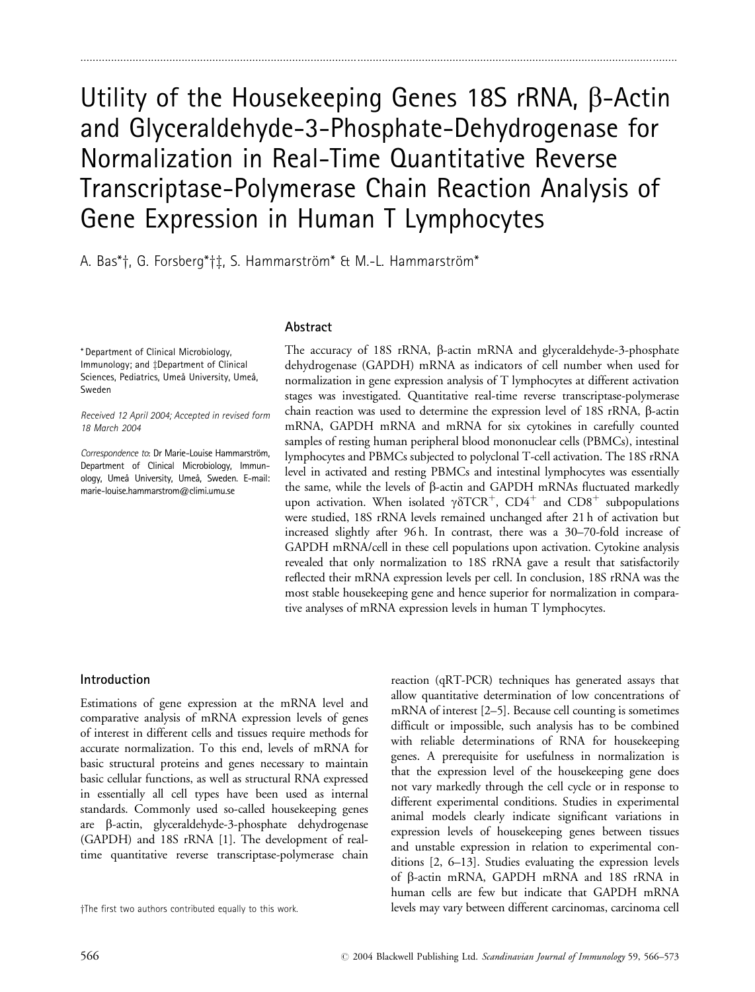# Utility of the Housekeeping Genes 18S  $rRNA$ ,  $\beta$ -Actin and Glyceraldehyde-3-Phosphate-Dehydrogenase for Normalization in Real-Time Quantitative Reverse Transcriptase-Polymerase Chain Reaction Analysis of Gene Expression in Human T Lymphocytes

..................................................................................................................................................................................................

A. Bas\*†, G. Forsberg\*†‡, S. Hammarström\* & M.-L. Hammarström\*

## Abstract

\* Department of Clinical Microbiology, Immunology; and ‡Department of Clinical Sciences, Pediatrics, Umeå University, Umeå. Sweden

Received 12 April 2004; Accepted in revised form 18 March 2004

Correspondence to: Dr Marie-Louise Hammarström, Department of Clinical Microbiology, Immunology, Umeå University, Umeå, Sweden. E-mail: marie-louise.hammarstrom@climi.umu.se

The accuracy of 18S rRNA, β-actin mRNA and glyceraldehyde-3-phosphate dehydrogenase (GAPDH) mRNA as indicators of cell number when used for normalization in gene expression analysis of T lymphocytes at different activation stages was investigated. Quantitative real-time reverse transcriptase-polymerase chain reaction was used to determine the expression level of 18S rRNA, b-actin mRNA, GAPDH mRNA and mRNA for six cytokines in carefully counted samples of resting human peripheral blood mononuclear cells (PBMCs), intestinal lymphocytes and PBMCs subjected to polyclonal T-cell activation. The 18S rRNA level in activated and resting PBMCs and intestinal lymphocytes was essentially the same, while the levels of  $\beta$ -actin and GAPDH mRNAs fluctuated markedly upon activation. When isolated  $\gamma\delta TCR^+$ , CD4<sup>+</sup> and CD8<sup>+</sup> subpopulations were studied, 18S rRNA levels remained unchanged after 21 h of activation but increased slightly after 96 h. In contrast, there was a 30–70-fold increase of GAPDH mRNA/cell in these cell populations upon activation. Cytokine analysis revealed that only normalization to 18S rRNA gave a result that satisfactorily reflected their mRNA expression levels per cell. In conclusion, 18S rRNA was the most stable housekeeping gene and hence superior for normalization in comparative analyses of mRNA expression levels in human T lymphocytes.

## Introduction

Estimations of gene expression at the mRNA level and comparative analysis of mRNA expression levels of genes of interest in different cells and tissues require methods for accurate normalization. To this end, levels of mRNA for basic structural proteins and genes necessary to maintain basic cellular functions, as well as structural RNA expressed in essentially all cell types have been used as internal standards. Commonly used so-called housekeeping genes are b-actin, glyceraldehyde-3-phosphate dehydrogenase (GAPDH) and 18S rRNA [1]. The development of realtime quantitative reverse transcriptase-polymerase chain

reaction (qRT-PCR) techniques has generated assays that allow quantitative determination of low concentrations of mRNA of interest [2–5]. Because cell counting is sometimes difficult or impossible, such analysis has to be combined with reliable determinations of RNA for housekeeping genes. A prerequisite for usefulness in normalization is that the expression level of the housekeeping gene does not vary markedly through the cell cycle or in response to different experimental conditions. Studies in experimental animal models clearly indicate significant variations in expression levels of housekeeping genes between tissues and unstable expression in relation to experimental conditions [2, 6–13]. Studies evaluating the expression levels of b-actin mRNA, GAPDH mRNA and 18S rRNA in human cells are few but indicate that GAPDH mRNA yThe first two authors contributed equally to this work. levels may vary between different carcinomas, carcinoma cell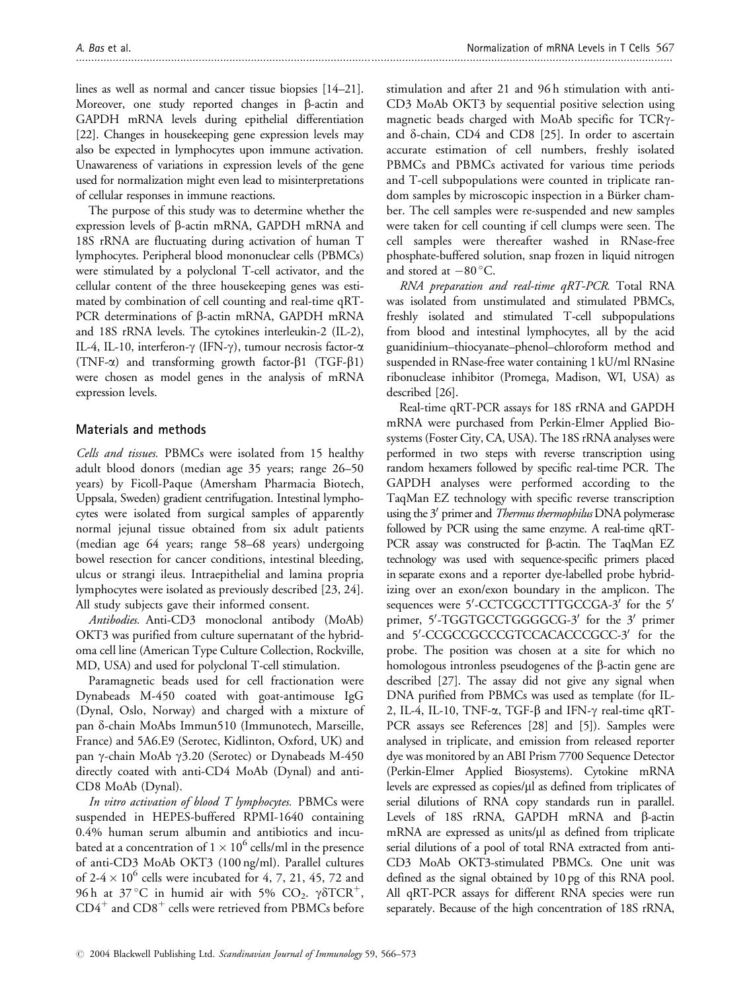lines as well as normal and cancer tissue biopsies [14–21]. Moreover, one study reported changes in  $\beta$ -actin and GAPDH mRNA levels during epithelial differentiation [22]. Changes in housekeeping gene expression levels may also be expected in lymphocytes upon immune activation. Unawareness of variations in expression levels of the gene used for normalization might even lead to misinterpretations of cellular responses in immune reactions.

The purpose of this study was to determine whether the expression levels of  $\beta$ -actin mRNA, GAPDH mRNA and 18S rRNA are fluctuating during activation of human T lymphocytes. Peripheral blood mononuclear cells (PBMCs) were stimulated by a polyclonal T-cell activator, and the cellular content of the three housekeeping genes was estimated by combination of cell counting and real-time qRT-PCR determinations of  $\beta$ -actin mRNA, GAPDH mRNA and 18S rRNA levels. The cytokines interleukin-2 (IL-2), IL-4, IL-10, interferon-g (IFN-g), tumour necrosis factor-a (TNF- $\alpha$ ) and transforming growth factor- $\beta$ 1 (TGF- $\beta$ 1) were chosen as model genes in the analysis of mRNA expression levels.

# Materials and methods

Cells and tissues. PBMCs were isolated from 15 healthy adult blood donors (median age 35 years; range 26–50 years) by Ficoll-Paque (Amersham Pharmacia Biotech, Uppsala, Sweden) gradient centrifugation. Intestinal lymphocytes were isolated from surgical samples of apparently normal jejunal tissue obtained from six adult patients (median age 64 years; range 58–68 years) undergoing bowel resection for cancer conditions, intestinal bleeding, ulcus or strangi ileus. Intraepithelial and lamina propria lymphocytes were isolated as previously described [23, 24]. All study subjects gave their informed consent.

Antibodies. Anti-CD3 monoclonal antibody (MoAb) OKT3 was purified from culture supernatant of the hybridoma cell line (American Type Culture Collection, Rockville, MD, USA) and used for polyclonal T-cell stimulation.

Paramagnetic beads used for cell fractionation were Dynabeads M-450 coated with goat-antimouse IgG (Dynal, Oslo, Norway) and charged with a mixture of pan d-chain MoAbs Immun510 (Immunotech, Marseille, France) and 5A6.E9 (Serotec, Kidlinton, Oxford, UK) and pan  $\gamma$ -chain MoAb  $\gamma$ 3.20 (Serotec) or Dynabeads M-450 directly coated with anti-CD4 MoAb (Dynal) and anti-CD8 MoAb (Dynal).

In vitro activation of blood T lymphocytes. PBMCs were suspended in HEPES-buffered RPMI-1640 containing 0.4% human serum albumin and antibiotics and incubated at a concentration of  $1 \times 10^6$  cells/ml in the presence of anti-CD3 MoAb OKT3 (100 ng/ml). Parallel cultures of 2-4  $\times$  10<sup>6</sup> cells were incubated for 4, 7, 21, 45, 72 and 96 h at 37 °C in humid air with 5% CO<sub>2</sub>.  $\gamma\delta TCR^+$ ,  $CD4^+$  and  $CD8^+$  cells were retrieved from PBMCs before stimulation and after 21 and 96 h stimulation with anti-CD3 MoAb OKT3 by sequential positive selection using magnetic beads charged with MoAb specific for TCRyand  $\delta$ -chain, CD4 and CD8 [25]. In order to ascertain accurate estimation of cell numbers, freshly isolated PBMCs and PBMCs activated for various time periods and T-cell subpopulations were counted in triplicate random samples by microscopic inspection in a Bürker chamber. The cell samples were re-suspended and new samples were taken for cell counting if cell clumps were seen. The cell samples were thereafter washed in RNase-free phosphate-buffered solution, snap frozen in liquid nitrogen and stored at  $-80$  °C.

RNA preparation and real-time qRT-PCR. Total RNA was isolated from unstimulated and stimulated PBMCs, freshly isolated and stimulated T-cell subpopulations from blood and intestinal lymphocytes, all by the acid guanidinium–thiocyanate–phenol–chloroform method and suspended in RNase-free water containing 1 kU/ml RNasine ribonuclease inhibitor (Promega, Madison, WI, USA) as described [26].

Real-time qRT-PCR assays for 18S rRNA and GAPDH mRNA were purchased from Perkin-Elmer Applied Biosystems (Foster City, CA, USA). The 18S rRNA analyses were performed in two steps with reverse transcription using random hexamers followed by specific real-time PCR. The GAPDH analyses were performed according to the TaqMan EZ technology with specific reverse transcription using the 3' primer and *Thermus thermophilus* DNA polymerase followed by PCR using the same enzyme. A real-time qRT-PCR assay was constructed for  $\beta$ -actin. The TaqMan EZ technology was used with sequence-specific primers placed in separate exons and a reporter dye-labelled probe hybridizing over an exon/exon boundary in the amplicon. The sequences were 5'-CCTCGCCTTTGCCGA-3' for the 5' primer, 5'-TGGTGCCTGGGGCG-3' for the 3' primer and 5'-CCGCCGCCCGTCCACACCCGCC-3' for the probe. The position was chosen at a site for which no homologous intronless pseudogenes of the  $\beta$ -actin gene are described [27]. The assay did not give any signal when DNA purified from PBMCs was used as template (for IL-2, IL-4, IL-10, TNF- $\alpha$ , TGF- $\beta$  and IFN- $\gamma$  real-time qRT-PCR assays see References [28] and [5]). Samples were analysed in triplicate, and emission from released reporter dye was monitored by an ABI Prism 7700 Sequence Detector (Perkin-Elmer Applied Biosystems). Cytokine mRNA levels are expressed as copies/ $\mu$ l as defined from triplicates of serial dilutions of RNA copy standards run in parallel. Levels of 18S rRNA, GAPDH mRNA and  $\beta$ -actin  $mRNA$  are expressed as units/ $\mu$ l as defined from triplicate serial dilutions of a pool of total RNA extracted from anti-CD3 MoAb OKT3-stimulated PBMCs. One unit was defined as the signal obtained by 10 pg of this RNA pool. All qRT-PCR assays for different RNA species were run separately. Because of the high concentration of 18S rRNA,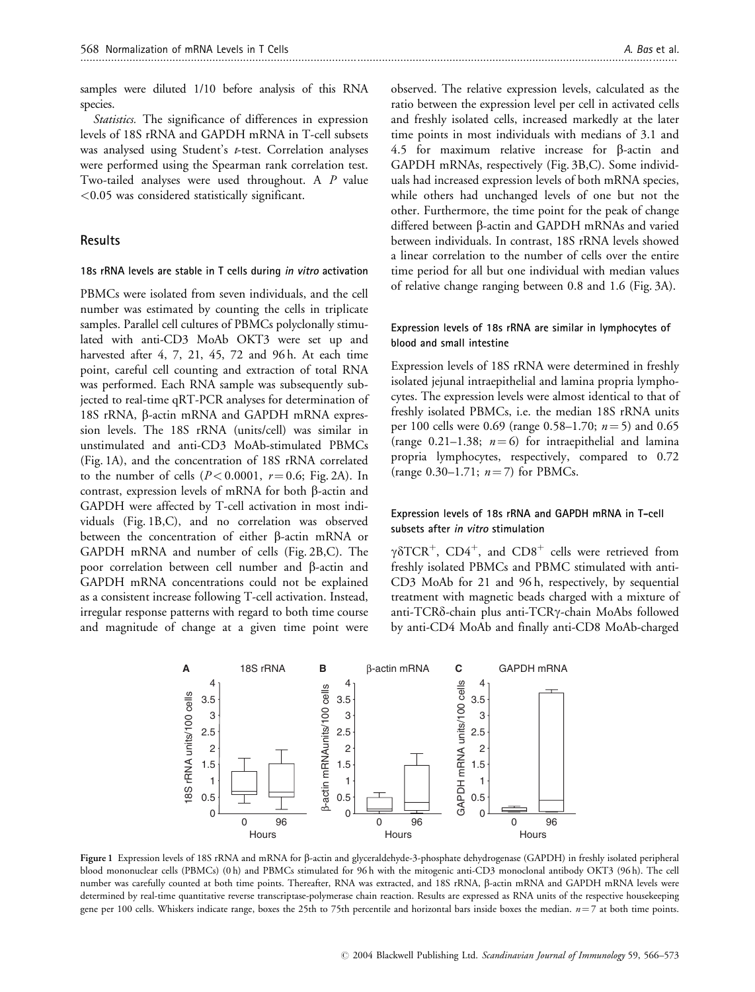samples were diluted 1/10 before analysis of this RNA species.

Statistics. The significance of differences in expression levels of 18S rRNA and GAPDH mRNA in T-cell subsets was analysed using Student's *t*-test. Correlation analyses were performed using the Spearman rank correlation test. Two-tailed analyses were used throughout. A P value <0.05 was considered statistically significant.

#### **Results**

#### 18s rRNA levels are stable in T cells during in vitro activation

PBMCs were isolated from seven individuals, and the cell number was estimated by counting the cells in triplicate samples. Parallel cell cultures of PBMCs polyclonally stimulated with anti-CD3 MoAb OKT3 were set up and harvested after 4, 7, 21, 45, 72 and 96 h. At each time point, careful cell counting and extraction of total RNA was performed. Each RNA sample was subsequently subjected to real-time qRT-PCR analyses for determination of 18S rRNA, b-actin mRNA and GAPDH mRNA expression levels. The 18S rRNA (units/cell) was similar in unstimulated and anti-CD3 MoAb-stimulated PBMCs (Fig. 1A), and the concentration of 18S rRNA correlated to the number of cells  $(P< 0.0001, r = 0.6; Fig. 2A)$ . In contrast, expression levels of mRNA for both  $\beta$ -actin and GAPDH were affected by T-cell activation in most individuals (Fig. 1B,C), and no correlation was observed between the concentration of either  $\beta$ -actin mRNA or GAPDH mRNA and number of cells (Fig. 2B,C). The poor correlation between cell number and  $\beta$ -actin and GAPDH mRNA concentrations could not be explained as a consistent increase following T-cell activation. Instead, irregular response patterns with regard to both time course and magnitude of change at a given time point were observed. The relative expression levels, calculated as the ratio between the expression level per cell in activated cells and freshly isolated cells, increased markedly at the later time points in most individuals with medians of 3.1 and 4.5 for maximum relative increase for  $\beta$ -actin and GAPDH mRNAs, respectively (Fig. 3B,C). Some individuals had increased expression levels of both mRNA species, while others had unchanged levels of one but not the other. Furthermore, the time point for the peak of change differed between b-actin and GAPDH mRNAs and varied between individuals. In contrast, 18S rRNA levels showed a linear correlation to the number of cells over the entire time period for all but one individual with median values of relative change ranging between 0.8 and 1.6 (Fig. 3A).

#### Expression levels of 18s rRNA are similar in lymphocytes of blood and small intestine

Expression levels of 18S rRNA were determined in freshly isolated jejunal intraepithelial and lamina propria lymphocytes. The expression levels were almost identical to that of freshly isolated PBMCs, i.e. the median 18S rRNA units per 100 cells were 0.69 (range 0.58–1.70;  $n = 5$ ) and 0.65 (range 0.21–1.38;  $n = 6$ ) for intraepithelial and lamina propria lymphocytes, respectively, compared to 0.72 (range 0.30–1.71;  $n = 7$ ) for PBMCs.

#### Expression levels of 18s rRNA and GAPDH mRNA in T-cell subsets after in vitro stimulation

 $\gamma\delta$ TCR<sup>+</sup>, CD4<sup>+</sup>, and CD8<sup>+</sup> cells were retrieved from freshly isolated PBMCs and PBMC stimulated with anti-CD3 MoAb for 21 and 96 h, respectively, by sequential treatment with magnetic beads charged with a mixture of anti-TCR<sub>o</sub>-chain plus anti-TCR $\gamma$ -chain MoAbs followed by anti-CD4 MoAb and finally anti-CD8 MoAb-charged



Figure 1 Expression levels of 18S rRNA and mRNA for b-actin and glyceraldehyde-3-phosphate dehydrogenase (GAPDH) in freshly isolated peripheral blood mononuclear cells (PBMCs) (0 h) and PBMCs stimulated for 96 h with the mitogenic anti-CD3 monoclonal antibody OKT3 (96 h). The cell number was carefully counted at both time points. Thereafter, RNA was extracted, and 18S rRNA, b-actin mRNA and GAPDH mRNA levels were determined by real-time quantitative reverse transcriptase-polymerase chain reaction. Results are expressed as RNA units of the respective housekeeping gene per 100 cells. Whiskers indicate range, boxes the 25th to 75th percentile and horizontal bars inside boxes the median.  $n=7$  at both time points.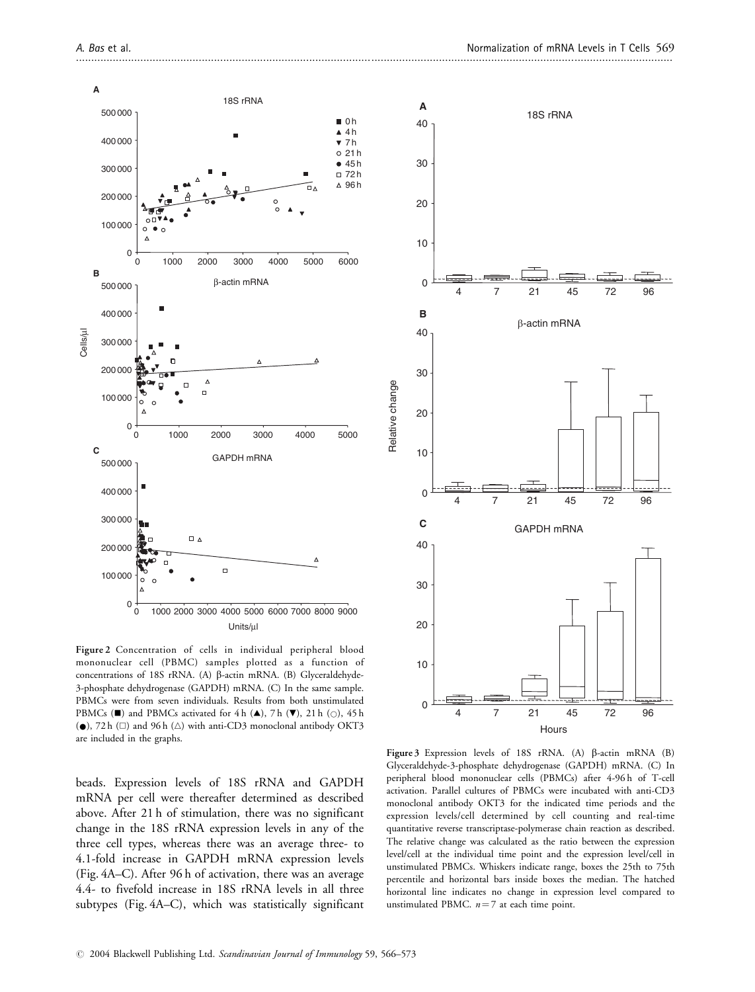

Figure 2 Concentration of cells in individual peripheral blood mononuclear cell (PBMC) samples plotted as a function of concentrations of 18S rRNA. (A)  $\beta$ -actin mRNA. (B) Glyceraldehyde-3-phosphate dehydrogenase (GAPDH) mRNA. (C) In the same sample. PBMCs were from seven individuals. Results from both unstimulated PBMCs ( $\blacksquare$ ) and PBMCs activated for 4 h ( $\spadesuit$ ), 7 h ( $\blacktriangledown$ ), 21 h ( $\bigcirc$ ), 45 h  $(\bullet)$ , 72 h ( $\square$ ) and 96 h ( $\triangle$ ) with anti-CD3 monoclonal antibody OKT3 are included in the graphs.

beads. Expression levels of 18S rRNA and GAPDH mRNA per cell were thereafter determined as described above. After 21 h of stimulation, there was no significant change in the 18S rRNA expression levels in any of the three cell types, whereas there was an average three- to 4.1-fold increase in GAPDH mRNA expression levels (Fig. 4A–C). After 96 h of activation, there was an average 4.4- to fivefold increase in 18S rRNA levels in all three subtypes (Fig. 4A–C), which was statistically significant



Figure 3 Expression levels of 18S rRNA. (A)  $\beta$ -actin mRNA (B) Glyceraldehyde-3-phosphate dehydrogenase (GAPDH) mRNA. (C) In peripheral blood mononuclear cells (PBMCs) after 4-96 h of T-cell activation. Parallel cultures of PBMCs were incubated with anti-CD3 monoclonal antibody OKT3 for the indicated time periods and the expression levels/cell determined by cell counting and real-time quantitative reverse transcriptase-polymerase chain reaction as described. The relative change was calculated as the ratio between the expression level/cell at the individual time point and the expression level/cell in unstimulated PBMCs. Whiskers indicate range, boxes the 25th to 75th percentile and horizontal bars inside boxes the median. The hatched horizontal line indicates no change in expression level compared to unstimulated PBMC.  $n = 7$  at each time point.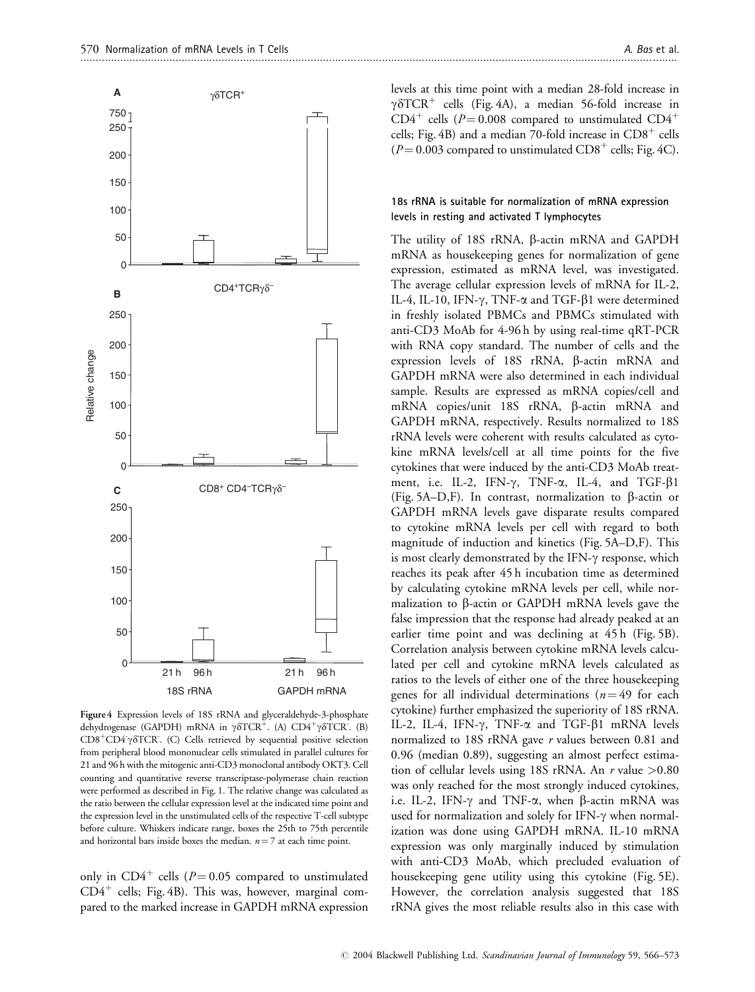

Figure 4 Expression levels of 18S rRNA and glyceraldehyde-3-phosphate dehydrogenase (GAPDH) mRNA in  $\gamma\delta TCR^+$ . (A) CD4<sup>+</sup> $\gamma\delta \overline{TCR^+}$ . (B)  $CD8+CD4^{\dagger}\gamma\delta$ TCR. (C) Cells retrieved by sequential positive selection from peripheral blood mononuclear cells stimulated in parallel cultures for 21 and 96 h with the mitogenic anti-CD3 monoclonal antibody OKT3. Cell counting and quantitative reverse transcriptase-polymerase chain reaction were performed as described in Fig. 1. The relative change was calculated as the ratio between the cellular expression level at the indicated time point and the expression level in the unstimulated cells of the respective T-cell subtype before culture. Whiskers indicate range, boxes the 25th to 75th percentile and horizontal bars inside boxes the median.  $n = 7$  at each time point.

only in CD4<sup>+</sup> cells ( $P = 0.05$  compared to unstimulated  $CD4^+$  cells; Fig. 4B). This was, however, marginal compared to the marked increase in GAPDH mRNA expression levels at this time point with a median 28-fold increase in  $\gamma\delta TCR^+$  cells (Fig. 4A), a median 56-fold increase in  $CD4^+$  cells (P=0.008 compared to unstimulated CD4<sup>+</sup> cells; Fig. 4B) and a median 70-fold increase in  $CD8^+$  cells  $(P = 0.003$  compared to unstimulated  $CD8<sup>+</sup>$  cells; Fig. 4C).

#### 18s rRNA is suitable for normalization of mRNA expression levels in resting and activated T lymphocytes

The utility of 18S rRNA,  $\beta$ -actin mRNA and GAPDH mRNA as housekeeping genes for normalization of gene expression, estimated as mRNA level, was investigated. The average cellular expression levels of mRNA for IL-2, IL-4, IL-10, IFN- $\gamma$ , TNF- $\alpha$  and TGF- $\beta$ 1 were determined in freshly isolated PBMCs and PBMCs stimulated with anti-CD3 MoAb for 4-96 h by using real-time qRT-PCR with RNA copy standard. The number of cells and the expression levels of 18S rRNA, b-actin mRNA and GAPDH mRNA were also determined in each individual sample. Results are expressed as mRNA copies/cell and mRNA copies/unit 18S rRNA, β-actin mRNA and GAPDH mRNA, respectively. Results normalized to 18S rRNA levels were coherent with results calculated as cytokine mRNA levels/cell at all time points for the five cytokines that were induced by the anti-CD3 MoAb treatment, i.e. IL-2, IFN- $\gamma$ , TNF- $\alpha$ , IL-4, and TGF- $\beta$ 1 (Fig. 5A–D,F). In contrast, normalization to  $\beta$ -actin or GAPDH mRNA levels gave disparate results compared to cytokine mRNA levels per cell with regard to both magnitude of induction and kinetics (Fig. 5A–D,F). This is most clearly demonstrated by the IFN- $\gamma$  response, which reaches its peak after 45 h incubation time as determined by calculating cytokine mRNA levels per cell, while normalization to  $\beta$ -actin or GAPDH mRNA levels gave the false impression that the response had already peaked at an earlier time point and was declining at 45 h (Fig. 5B). Correlation analysis between cytokine mRNA levels calculated per cell and cytokine mRNA levels calculated as ratios to the levels of either one of the three housekeeping genes for all individual determinations ( $n = 49$  for each cytokine) further emphasized the superiority of 18S rRNA. IL-2, IL-4, IFN- $\gamma$ , TNF- $\alpha$  and TGF- $\beta$ 1 mRNA levels normalized to 18S rRNA gave r values between 0.81 and 0.96 (median 0.89), suggesting an almost perfect estimation of cellular levels using 18S rRNA. An  $r$  value  $>0.80$ was only reached for the most strongly induced cytokines, i.e. IL-2, IFN- $\gamma$  and TNF- $\alpha$ , when  $\beta$ -actin mRNA was used for normalization and solely for IFN- $\gamma$  when normalization was done using GAPDH mRNA. IL-10 mRNA expression was only marginally induced by stimulation with anti-CD3 MoAb, which precluded evaluation of housekeeping gene utility using this cytokine (Fig. 5E). However, the correlation analysis suggested that 18S rRNA gives the most reliable results also in this case with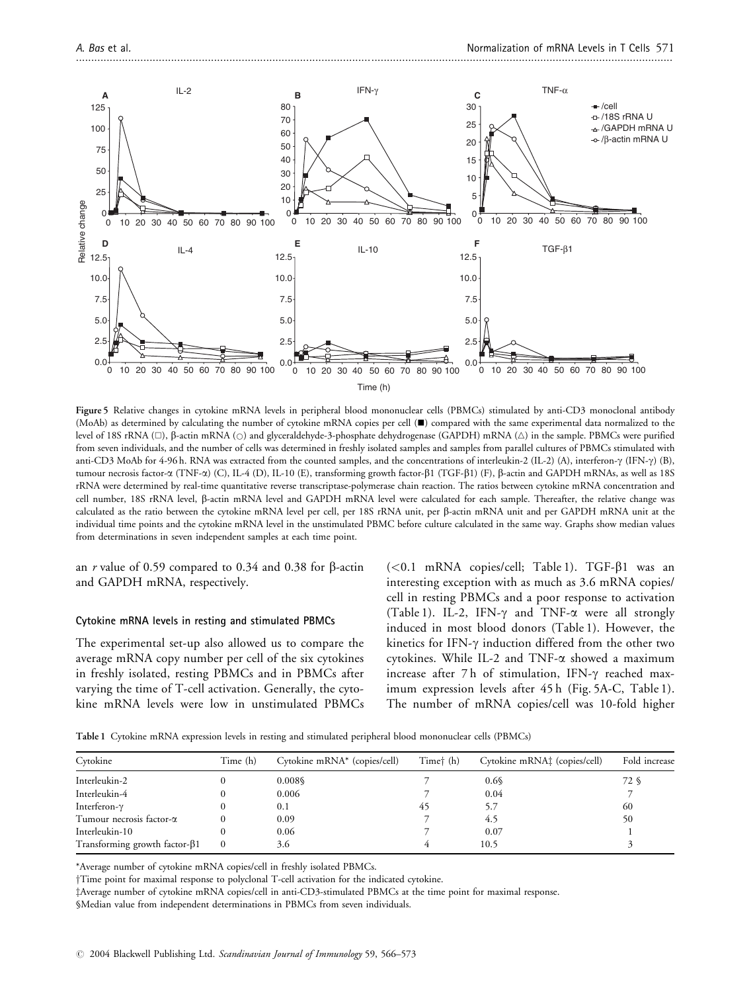

Figure 5 Relative changes in cytokine mRNA levels in peripheral blood mononuclear cells (PBMCs) stimulated by anti-CD3 monoclonal antibody (MoAb) as determined by calculating the number of cytokine mRNA copies per cell (&) compared with the same experimental data normalized to the level of 18S rRNA (□), β-actin mRNA (○) and glyceraldehyde-3-phosphate dehydrogenase (GAPDH) mRNA (△) in the sample. PBMCs were purified from seven individuals, and the number of cells was determined in freshly isolated samples and samples from parallel cultures of PBMCs stimulated with anti-CD3 MoAb for 4-96 h. RNA was extracted from the counted samples, and the concentrations of interleukin-2 (IL-2) (A), interferon- $\gamma$  (IFN- $\gamma$ ) (B), tumour necrosis factor-α (TNF-α) (C), IL-4 (D), IL-10 (E), transforming growth factor-β1 (TGF-β1) (F), β-actin and GAPDH mRNAs, as well as 18S rRNA were determined by real-time quantitative reverse transcriptase-polymerase chain reaction. The ratios between cytokine mRNA concentration and cell number, 18S rRNA level, b-actin mRNA level and GAPDH mRNA level were calculated for each sample. Thereafter, the relative change was calculated as the ratio between the cytokine mRNA level per cell, per 18S rRNA unit, per  $\beta$ -actin mRNA unit and per GAPDH mRNA unit at the individual time points and the cytokine mRNA level in the unstimulated PBMC before culture calculated in the same way. Graphs show median values from determinations in seven independent samples at each time point.

an r value of 0.59 compared to 0.34 and 0.38 for  $\beta$ -actin and GAPDH mRNA, respectively.

#### Cytokine mRNA levels in resting and stimulated PBMCs

The experimental set-up also allowed us to compare the average mRNA copy number per cell of the six cytokines in freshly isolated, resting PBMCs and in PBMCs after varying the time of T-cell activation. Generally, the cytokine mRNA levels were low in unstimulated PBMCs

 $(<0.1$  mRNA copies/cell; Table 1). TGF- $\beta$ 1 was an interesting exception with as much as 3.6 mRNA copies/ cell in resting PBMCs and a poor response to activation (Table 1). IL-2, IFN- $\gamma$  and TNF- $\alpha$  were all strongly induced in most blood donors (Table 1). However, the kinetics for IFN- $\gamma$  induction differed from the other two cytokines. While IL-2 and TNF- $\alpha$  showed a maximum increase after  $7h$  of stimulation, IFN- $\gamma$  reached maximum expression levels after 45 h (Fig. 5A-C, Table 1). The number of mRNA copies/cell was 10-fold higher

Table 1 Cytokine mRNA expression levels in resting and stimulated peripheral blood mononuclear cells (PBMCs)

| Cytokine                              | Time (h) | Cytokine mRNA* (copies/cell) | Timet (h) | Cytokine mRNA <sup>†</sup> (copies/cell) | Fold increase |
|---------------------------------------|----------|------------------------------|-----------|------------------------------------------|---------------|
| Interleukin-2                         |          | $0.008\$                     |           | 0.6                                      | 72 S          |
| Interleukin-4                         |          | 0.006                        |           | 0.04                                     |               |
| Interferon- $\gamma$                  |          | 0.1                          | 45        | 5.7                                      | 60            |
| Tumour necrosis factor- $\alpha$      |          | 0.09                         |           | 4.5                                      | 50            |
| Interleukin-10                        |          | 0.06                         |           | 0.07                                     |               |
| Transforming growth factor- $\beta$ 1 | $\Omega$ | 3.6                          |           | 10.5                                     |               |

\*Average number of cytokine mRNA copies/cell in freshly isolated PBMCs.

<sup>†</sup>Time point for maximal response to polyclonal T-cell activation for the indicated cytokine.

zAverage number of cytokine mRNA copies/cell in anti-CD3-stimulated PBMCs at the time point for maximal response.

§Median value from independent determinations in PBMCs from seven individuals.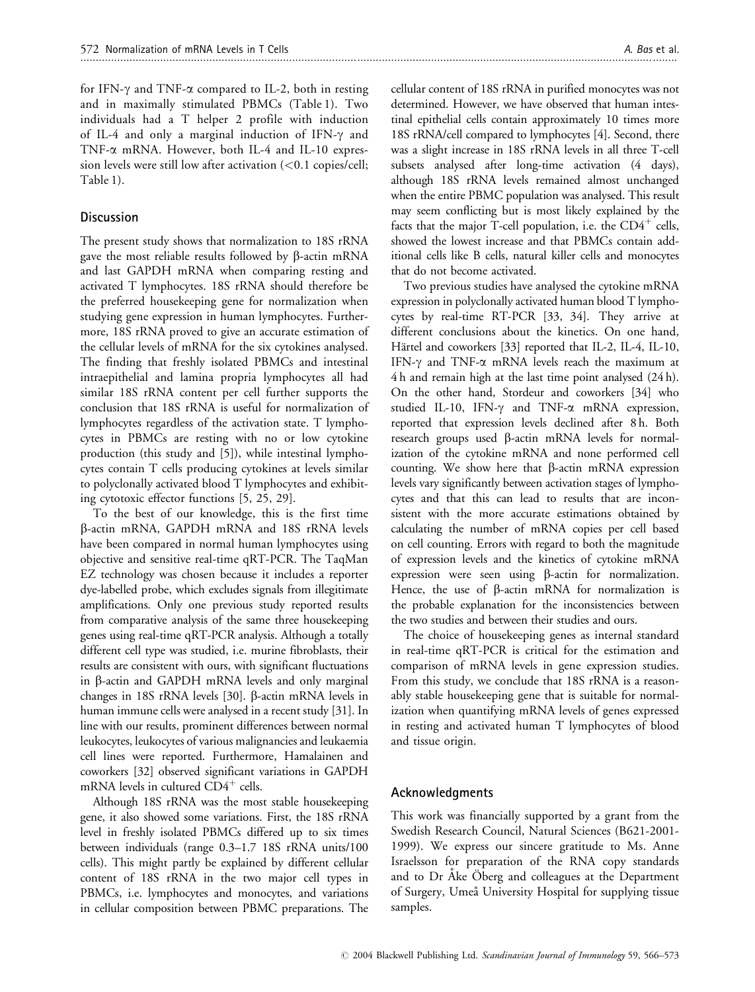for IFN- $\gamma$  and TNF- $\alpha$  compared to IL-2, both in resting and in maximally stimulated PBMCs (Table 1). Two individuals had a T helper 2 profile with induction of IL-4 and only a marginal induction of IFN- $\gamma$  and TNF-a mRNA. However, both IL-4 and IL-10 expression levels were still low after activation  $(<0.1$  copies/cell; Table 1).

### **Discussion**

The present study shows that normalization to 18S rRNA gave the most reliable results followed by  $\beta$ -actin mRNA and last GAPDH mRNA when comparing resting and activated T lymphocytes. 18S rRNA should therefore be the preferred housekeeping gene for normalization when studying gene expression in human lymphocytes. Furthermore, 18S rRNA proved to give an accurate estimation of the cellular levels of mRNA for the six cytokines analysed. The finding that freshly isolated PBMCs and intestinal intraepithelial and lamina propria lymphocytes all had similar 18S rRNA content per cell further supports the conclusion that 18S rRNA is useful for normalization of lymphocytes regardless of the activation state. T lymphocytes in PBMCs are resting with no or low cytokine production (this study and [5]), while intestinal lymphocytes contain T cells producing cytokines at levels similar to polyclonally activated blood T lymphocytes and exhibiting cytotoxic effector functions [5, 25, 29].

To the best of our knowledge, this is the first time b-actin mRNA, GAPDH mRNA and 18S rRNA levels have been compared in normal human lymphocytes using objective and sensitive real-time qRT-PCR. The TaqMan EZ technology was chosen because it includes a reporter dye-labelled probe, which excludes signals from illegitimate amplifications. Only one previous study reported results from comparative analysis of the same three housekeeping genes using real-time qRT-PCR analysis. Although a totally different cell type was studied, i.e. murine fibroblasts, their results are consistent with ours, with significant fluctuations in  $\beta$ -actin and GAPDH mRNA levels and only marginal changes in 18S rRNA levels [30].  $\beta$ -actin mRNA levels in human immune cells were analysed in a recent study [31]. In line with our results, prominent differences between normal leukocytes, leukocytes of various malignancies and leukaemia cell lines were reported. Furthermore, Hamalainen and coworkers [32] observed significant variations in GAPDH mRNA levels in cultured  $CD4^+$  cells.

Although 18S rRNA was the most stable housekeeping gene, it also showed some variations. First, the 18S rRNA level in freshly isolated PBMCs differed up to six times between individuals (range 0.3–1.7 18S rRNA units/100 cells). This might partly be explained by different cellular content of 18S rRNA in the two major cell types in PBMCs, i.e. lymphocytes and monocytes, and variations in cellular composition between PBMC preparations. The

cellular content of 18S rRNA in purified monocytes was not determined. However, we have observed that human intestinal epithelial cells contain approximately 10 times more 18S rRNA/cell compared to lymphocytes [4]. Second, there was a slight increase in 18S rRNA levels in all three T-cell subsets analysed after long-time activation (4 days), although 18S rRNA levels remained almost unchanged when the entire PBMC population was analysed. This result may seem conflicting but is most likely explained by the facts that the major T-cell population, i.e. the  $CD4^+$  cells, showed the lowest increase and that PBMCs contain additional cells like B cells, natural killer cells and monocytes that do not become activated.

Two previous studies have analysed the cytokine mRNA expression in polyclonally activated human blood T lymphocytes by real-time RT-PCR [33, 34]. They arrive at different conclusions about the kinetics. On one hand, Härtel and coworkers [33] reported that IL-2, IL-4, IL-10, IFN- $\gamma$  and TNF- $\alpha$  mRNA levels reach the maximum at 4 h and remain high at the last time point analysed (24 h). On the other hand, Stordeur and coworkers [34] who studied IL-10, IFN-g and TNF-a mRNA expression, reported that expression levels declined after 8 h. Both research groups used b-actin mRNA levels for normalization of the cytokine mRNA and none performed cell counting. We show here that  $\beta$ -actin mRNA expression levels vary significantly between activation stages of lymphocytes and that this can lead to results that are inconsistent with the more accurate estimations obtained by calculating the number of mRNA copies per cell based on cell counting. Errors with regard to both the magnitude of expression levels and the kinetics of cytokine mRNA expression were seen using  $\beta$ -actin for normalization. Hence, the use of  $\beta$ -actin mRNA for normalization is the probable explanation for the inconsistencies between the two studies and between their studies and ours.

The choice of housekeeping genes as internal standard in real-time qRT-PCR is critical for the estimation and comparison of mRNA levels in gene expression studies. From this study, we conclude that 18S rRNA is a reasonably stable housekeeping gene that is suitable for normalization when quantifying mRNA levels of genes expressed in resting and activated human T lymphocytes of blood and tissue origin.

#### Acknowledgments

This work was financially supported by a grant from the Swedish Research Council, Natural Sciences (B621-2001- 1999). We express our sincere gratitude to Ms. Anne Israelsson for preparation of the RNA copy standards and to Dr Åke Öberg and colleagues at the Department of Surgery, Umeå University Hospital for supplying tissue samples.